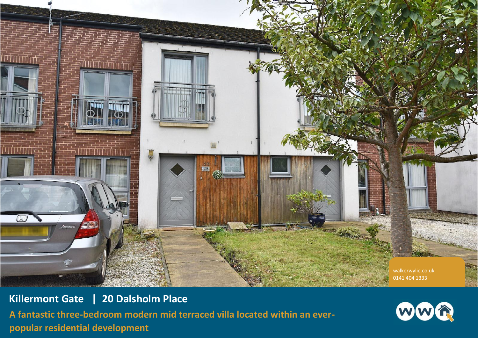

**Killermont Gate | 20 Dalsholm Place A fantastic three-bedroom modern mid terraced villa located within an everpopular residential development**

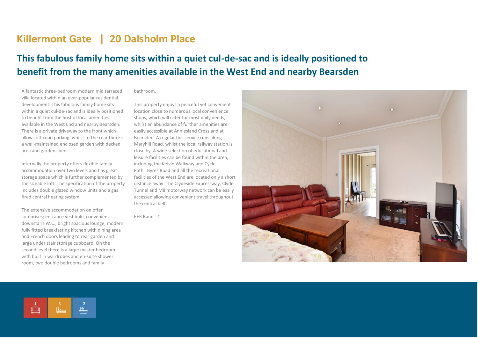## **Killermont Gate | 20 Dalsholm Place**

## **This fabulous family home sits within a quiet cul-de-sac and is ideally positioned to benefit from the many amenities available in the West End and nearby Bearsden**

A fantastic three-bedroom modern mid terraced villa located within an ever-popular residential development. This fabulous family home sits within a quiet cul-de-sac and is ideally positioned to benefit from the host of local amenities available in the West End and nearby Bearsden. There is a private driveway to the front which allows off-road parking, whilst to the rear there is a well-maintained enclosed garden with decked area and garden shed.

Internally the property offers flexible family accommodation over two levels and has great storage space which is further complemented by the sizeable loft. The specification of the property includes double glazed window units and a gas fired central heating system.

The extensive accommodation on offer comprises; entrance vestibule, convenient downstairs W.C., bright spacious lounge, modern fully fitted breakfasting kitchen with dining area and French doors leading to rear garden and large under stair storage cupboard. On the second level there is a large master bedroom with built in wardrobes and en-suite shower room, two double bedrooms and family

bathroom.

This property enjoys a peaceful yet convenient location close to numerous local convenience shops, which will cater for most daily needs, whilst an abundance of further amenities are easily accessible at Anniesland Cross and at Bearsden. A regular bus service runs along Maryhill Road, whilst the local railway station is close by. A wide selection of educational and leisure facilities can be found within the area, including the Kelvin Walkway and Cycle Path. Byres Road and all the recreational facilities of the West End are located only a short distance away. The Clydeside Expressway, Clyde Tunnel and M8 motorway network can be easily accessed allowing convenient travel throughout the central belt.

EER Band - C



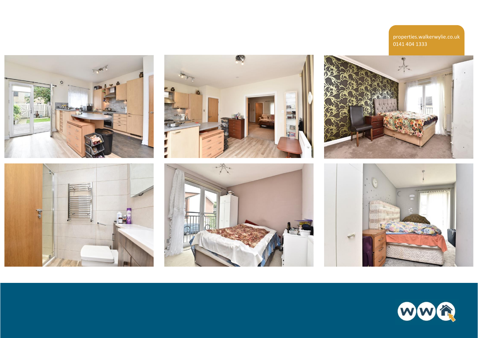